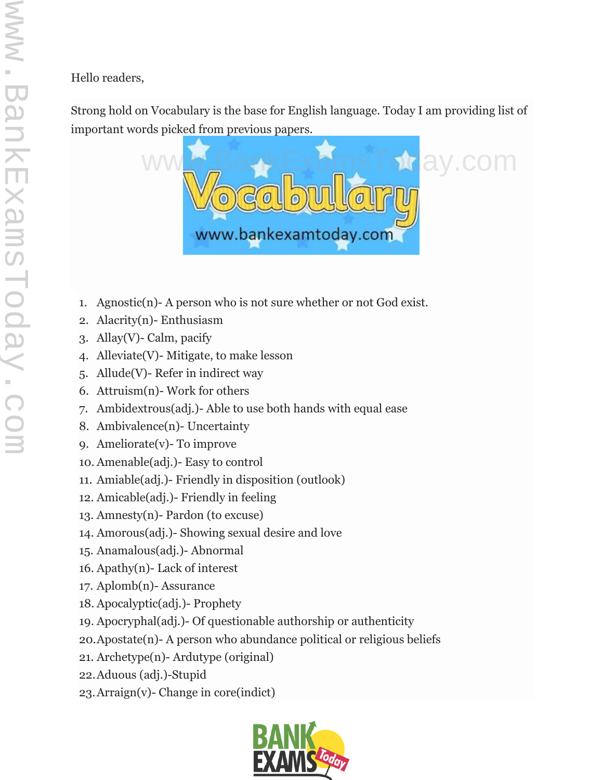Hello readers,

Strong hold on Vocabulary is the base for English language. Today I am providing list of important words picked from previous papers.

![](_page_0_Picture_2.jpeg)

- 1. Agnostic(n)- A person who is not sure whether or not God exist.
- 2. Alacrity(n)- Enthusiasm
- 3. Allay(V)- Calm, pacify
- 4. Alleviate(V)- Mitigate, to make lesson
- 5. Allude(V)- Refer in indirect way
- 6. Attruism(n)- Work for others
- 7. Ambidextrous(adj.)- Able to use both hands with equal ease
- 8. Ambivalence(n)- Uncertainty
- 9. Ameliorate(v)- To improve
- 10. Amenable(adj.)- Easy to control
- 11. Amiable(adj.)- Friendly in disposition (outlook)
- 12. Amicable(adj.)- Friendly in feeling
- 13. Amnesty(n)- Pardon (to excuse)
- 14. Amorous(adj.)- Showing sexual desire and love
- 15. Anamalous(adj.)- Abnormal
- 16. Apathy(n)- Lack of interest
- 17. Aplomb(n)- Assurance
- 18. Apocalyptic(adj.)- Prophety
- 19. Apocryphal(adj.)- Of questionable authorship or authenticity
- 20.Apostate(n)- A person who abundance political or religious beliefs
- 21. Archetype(n)- Ardutype (original)
- 22.Aduous (adj.)-Stupid
- 23.Arraign(v)- Change in core(indict)

![](_page_0_Picture_26.jpeg)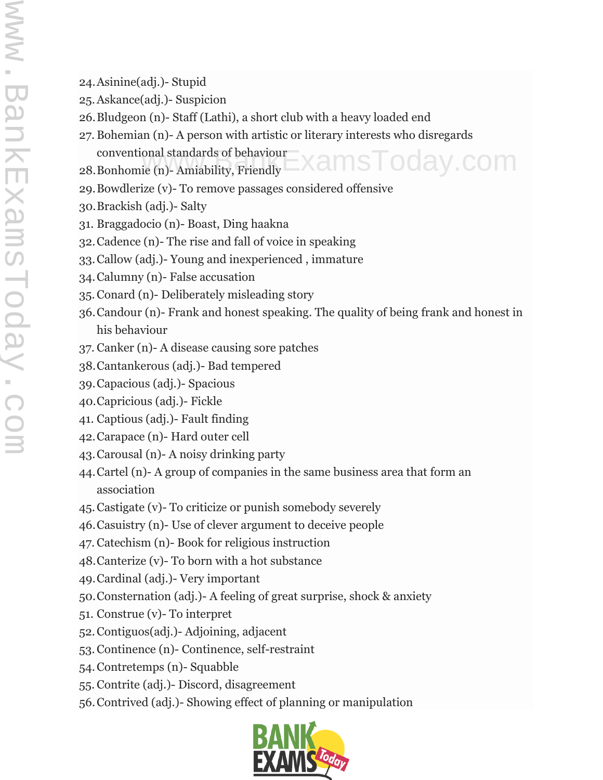- 24.Asinine(adj.)- Stupid
- 25.Askance(adj.)- Suspicion
- 26.Bludgeon (n)- Staff (Lathi), a short club with a heavy loaded end
- 27. Bohemian (n)- A person with artistic or literary interests who disregards conventional standards of behaviour amsToday.com
- 28.Bonhomie (n)- Amiability, Friendly
- 29.Bowdlerize (v)- To remove passages considered offensive
- 30.Brackish (adj.)- Salty
- 31. Braggadocio (n)- Boast, Ding haakna
- 32.Cadence (n)- The rise and fall of voice in speaking
- 33.Callow (adj.)- Young and inexperienced , immature
- 34.Calumny (n)- False accusation
- 35.Conard (n)- Deliberately misleading story
- 36.Candour (n)- Frank and honest speaking. The quality of being frank and honest in his behaviour
- 37. Canker (n)- A disease causing sore patches
- 38.Cantankerous (adj.)- Bad tempered
- 39.Capacious (adj.)- Spacious
- 40.Capricious (adj.)- Fickle
- 41. Captious (adj.)- Fault finding
- 42.Carapace (n)- Hard outer cell
- 43.Carousal (n)- A noisy drinking party
- 44.Cartel (n)- A group of companies in the same business area that form an association
- 45.Castigate (v)- To criticize or punish somebody severely
- 46.Casuistry (n)- Use of clever argument to deceive people
- 47. Catechism (n)- Book for religious instruction
- 48.Canterize (v)- To born with a hot substance
- 49.Cardinal (adj.)- Very important
- 50.Consternation (adj.)- A feeling of great surprise, shock & anxiety
- 51. Construe (v)- To interpret
- 52.Contiguos(adj.)- Adjoining, adjacent
- 53.Continence (n)- Continence, self-restraint
- 54.Contretemps (n)- Squabble
- 55. Contrite (adj.)- Discord, disagreement
- 56.Contrived (adj.)- Showing effect of planning or manipulation

![](_page_1_Picture_34.jpeg)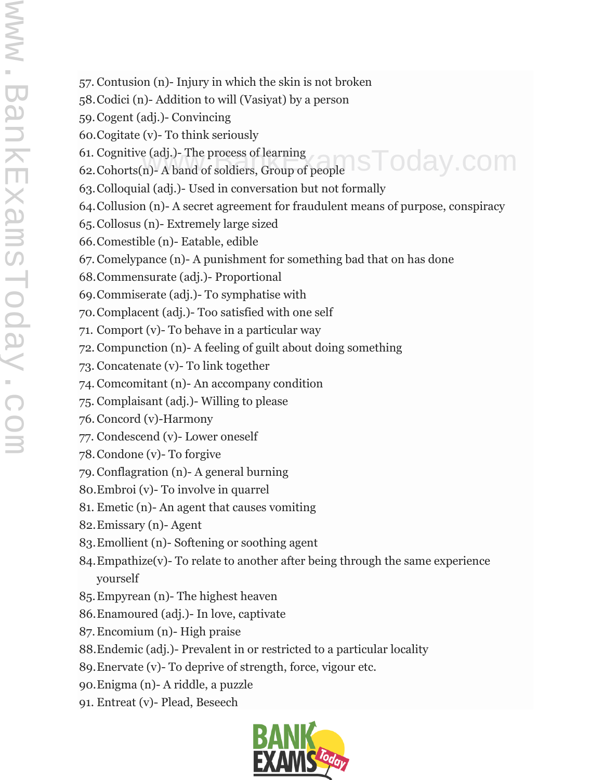- 57. Contusion (n)- Injury in which the skin is not broken
- 58.Codici (n)- Addition to will (Vasiyat) by a person
- 59.Cogent (adj.)- Convincing
- 60.Cogitate (v)- To think seriously
- 61. Cognitive (adj.)- The process of learning
- 62.Cohorts(n)- A band of soldiers, Group of people nsToday.com
- 63.Colloquial (adj.)- Used in conversation but not formally
- 64.Collusion (n)- A secret agreement for fraudulent means of purpose, conspiracy
- 65.Collosus (n)- Extremely large sized
- 66.Comestible (n)- Eatable, edible
- 67.Comelypance (n)- A punishment for something bad that on has done
- 68.Commensurate (adj.)- Proportional
- 69.Commiserate (adj.)- To symphatise with
- 70.Complacent (adj.)- Too satisfied with one self
- 71. Comport (v)- To behave in a particular way
- 72. Compunction (n)- A feeling of guilt about doing something
- 73. Concatenate (v)- To link together
- 74. Comcomitant (n)- An accompany condition
- 75. Complaisant (adj.)- Willing to please
- 76. Concord (v)-Harmony
- 77. Condescend (v)- Lower oneself
- 78.Condone (v)- To forgive
- 79. Conflagration (n)- A general burning
- 80.Embroi (v)- To involve in quarrel
- 81. Emetic (n)- An agent that causes vomiting
- 82.Emissary (n)- Agent
- 83.Emollient (n)- Softening or soothing agent
- 84.Empathize(v)- To relate to another after being through the same experience yourself
- 85.Empyrean (n)- The highest heaven
- 86.Enamoured (adj.)- In love, captivate
- 87.Encomium (n)- High praise
- 88.Endemic (adj.)- Prevalent in or restricted to a particular locality
- 89.Enervate (v)- To deprive of strength, force, vigour etc.
- 90.Enigma (n)- A riddle, a puzzle
- 91. Entreat (v)- Plead, Beseech

![](_page_2_Picture_36.jpeg)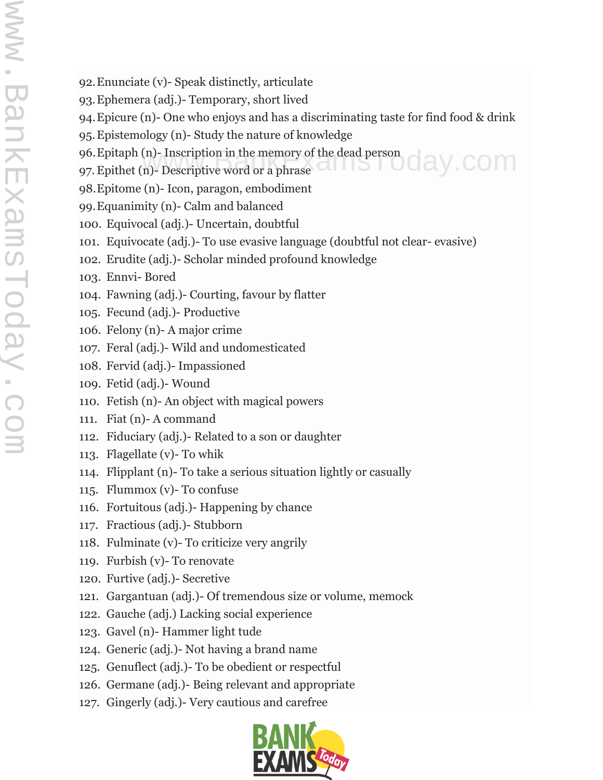- 92.Enunciate (v)- Speak distinctly, articulate
- 93.Ephemera (adj.)- Temporary, short lived
- 94.Epicure (n)- One who enjoys and has a discriminating taste for find food & drink
- 95.Epistemology (n)- Study the nature of knowledge
- 96. Epitaph (n)- Inscription in the memory of the dead person<br>97. Epithet (n)- Descriptive word or a phrase
- 97.Epithet (n)- Descriptive word or a phrase
- 98.Epitome (n)- Icon, paragon, embodiment
- 99.Equanimity (n)- Calm and balanced
- 100. Equivocal (adj.)- Uncertain, doubtful
- 101. Equivocate (adj.)- To use evasive language (doubtful not clear- evasive)
- 102. Erudite (adj.)- Scholar minded profound knowledge
- 103. Ennvi- Bored
- 104. Fawning (adj.)- Courting, favour by flatter
- 105. Fecund (adj.)- Productive
- 106. Felony (n)- A major crime
- 107. Feral (adj.)- Wild and undomesticated
- 108. Fervid (adj.)- Impassioned
- 109. Fetid (adj.)- Wound
- 110. Fetish (n)- An object with magical powers
- 111. Fiat (n)- A command
- 112. Fiduciary (adj.)- Related to a son or daughter
- 113. Flagellate (v)- To whik
- 114. Flipplant (n)- To take a serious situation lightly or casually
- 115. Flummox (v)- To confuse
- 116. Fortuitous (adj.)- Happening by chance
- 117. Fractious (adj.)- Stubborn
- 118. Fulminate (v)- To criticize very angrily
- 119. Furbish (v)- To renovate
- 120. Furtive (adj.)- Secretive
- 121. Gargantuan (adj.)- Of tremendous size or volume, memock
- 122. Gauche (adj.) Lacking social experience
- 123. Gavel (n)- Hammer light tude
- 124. Generic (adj.)- Not having a brand name
- 125. Genuflect (adj.)- To be obedient or respectful
- 126. Germane (adj.)- Being relevant and appropriate
- 127. Gingerly (adj.)- Very cautious and carefree

![](_page_3_Picture_37.jpeg)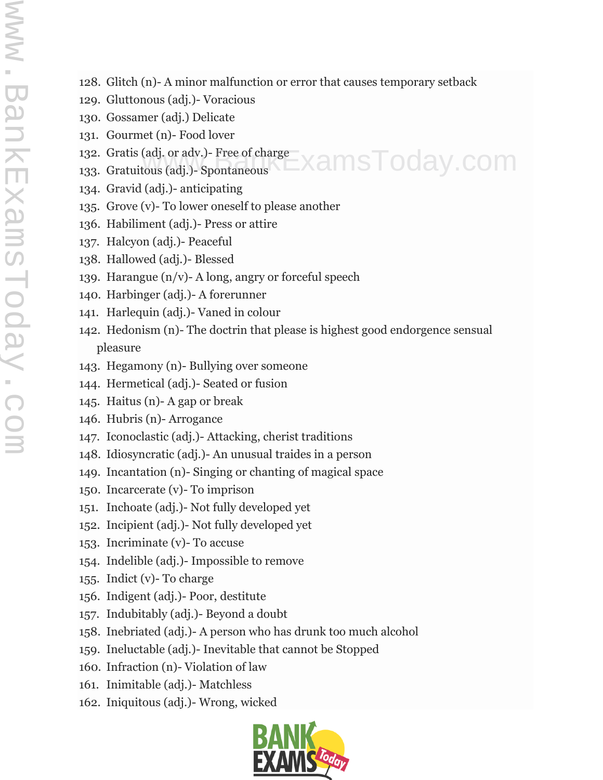128. Glitch (n)- A minor malfunction or error that causes temporary setback

 $\exists$ xamsToday.com

- 129. Gluttonous (adj.)- Voracious
- 130. Gossamer (adj.) Delicate
- 131. Gourmet (n)- Food lover
- 132. Gratis (adj. or adv.)- Free of charge
- 133. Gratuitous (adj.)- Spontaneous
- 134. Gravid (adj.)- anticipating
- 135. Grove (v)- To lower oneself to please another
- 136. Habiliment (adj.)- Press or attire
- 137. Halcyon (adj.)- Peaceful
- 138. Hallowed (adj.)- Blessed
- 139. Harangue  $(n/v)$  A long, angry or forceful speech
- 140. Harbinger (adj.)- A forerunner
- 141. Harlequin (adj.)- Vaned in colour
- 142. Hedonism (n)- The doctrin that please is highest good endorgence sensual pleasure
- 143. Hegamony (n)- Bullying over someone
- 144. Hermetical (adj.)- Seated or fusion
- 145. Haitus (n)- A gap or break
- 146. Hubris (n)- Arrogance
- 147. Iconoclastic (adj.)- Attacking, cherist traditions
- 148. Idiosyncratic (adj.)- An unusual traides in a person
- 149. Incantation (n)- Singing or chanting of magical space
- 150. Incarcerate (v)- To imprison
- 151. Inchoate (adj.)- Not fully developed yet
- 152. Incipient (adj.)- Not fully developed yet
- 153. Incriminate (v)- To accuse
- 154. Indelible (adj.)- Impossible to remove
- 155. Indict (v)- To charge
- 156. Indigent (adj.)- Poor, destitute
- 157. Indubitably (adj.)- Beyond a doubt
- 158. Inebriated (adj.)- A person who has drunk too much alcohol
- 159. Ineluctable (adj.)- Inevitable that cannot be Stopped
- 160. Infraction (n)- Violation of law
- 161. Inimitable (adj.)- Matchless
- 162. Iniquitous (adj.)- Wrong, wicked

![](_page_4_Picture_36.jpeg)